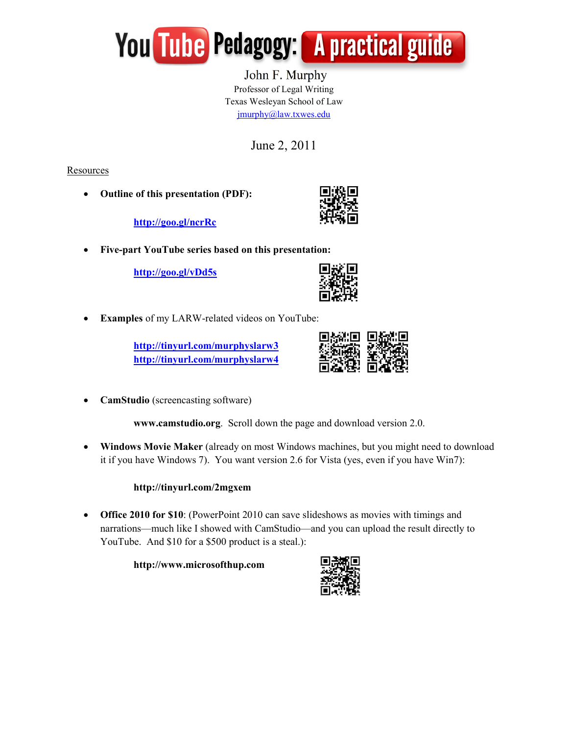

 John F. Murphy Professor of Legal Writing Texas Wesleyan School of Law jmurphy@law.txwes.edu

June 2, 2011

Resources

• Outline of this presentation (PDF):

http://goo.gl/ncrRc



• Five-part YouTube series based on this presentation:

http://goo.gl/vDd5s

| I<br>٠ |
|--------|
|        |
|        |

Examples of my LARW-related videos on YouTube:

http://tinyurl.com/murphyslarw3 http://tinyurl.com/murphyslarw4



• CamStudio (screencasting software)

www.camstudio.org. Scroll down the page and download version 2.0.

• Windows Movie Maker (already on most Windows machines, but you might need to download it if you have Windows 7). You want version 2.6 for Vista (yes, even if you have Win7):

# http://tinyurl.com/2mgxem

• Office 2010 for \$10: (PowerPoint 2010 can save slideshows as movies with timings and narrations—much like I showed with CamStudio—and you can upload the result directly to YouTube. And \$10 for a \$500 product is a steal.):

http://www.microsofthup.com

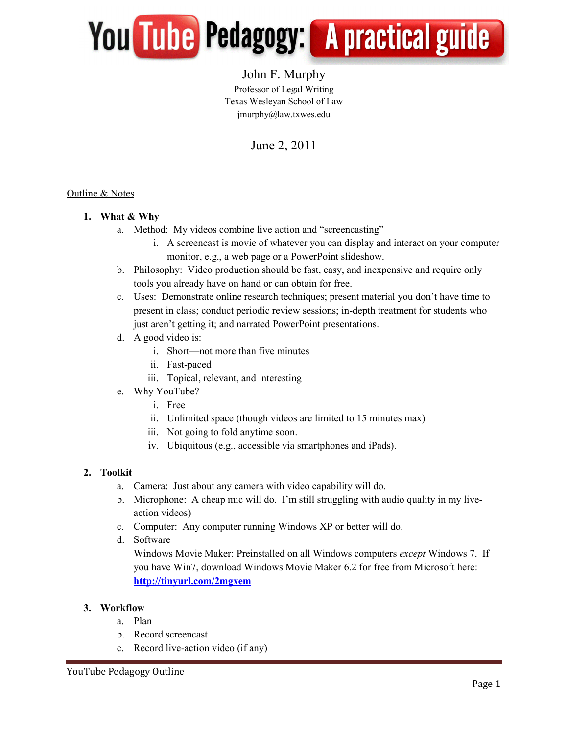

# John F. Murphy Professor of Legal Writing Texas Wesleyan School of Law jmurphy@law.txwes.edu

# June 2, 2011

#### Outline & Notes

#### 1. What & Why

- a. Method: My videos combine live action and "screencasting"
	- i. A screencast is movie of whatever you can display and interact on your computer monitor, e.g., a web page or a PowerPoint slideshow.
- b. Philosophy: Video production should be fast, easy, and inexpensive and require only tools you already have on hand or can obtain for free.
- c. Uses: Demonstrate online research techniques; present material you don't have time to present in class; conduct periodic review sessions; in-depth treatment for students who just aren't getting it; and narrated PowerPoint presentations.
- d. A good video is:
	- i. Short—not more than five minutes
	- ii. Fast-paced
	- iii. Topical, relevant, and interesting
- e. Why YouTube?
	- i. Free
	- ii. Unlimited space (though videos are limited to 15 minutes max)
	- iii. Not going to fold anytime soon.
	- iv. Ubiquitous (e.g., accessible via smartphones and iPads).

## 2. Toolkit

- a. Camera: Just about any camera with video capability will do.
- b. Microphone: A cheap mic will do. I'm still struggling with audio quality in my liveaction videos)
- c. Computer: Any computer running Windows XP or better will do.
- d. Software

Windows Movie Maker: Preinstalled on all Windows computers *except* Windows 7. If you have Win7, download Windows Movie Maker 6.2 for free from Microsoft here: http://tinyurl.com/2mgxem

#### 3. Workflow

- a. Plan
- b. Record screencast
- c. Record live-action video (if any)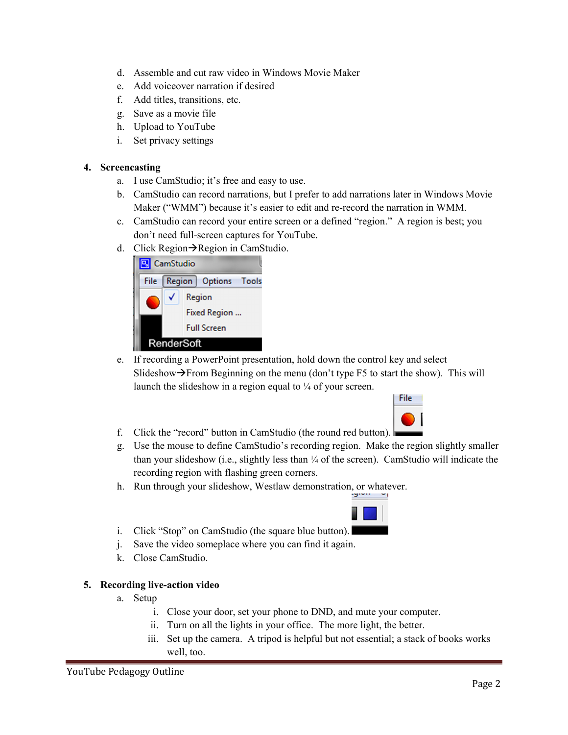- d. Assemble and cut raw video in Windows Movie Maker
- e. Add voiceover narration if desired
- f. Add titles, transitions, etc.
- g. Save as a movie file
- h. Upload to YouTube
- i. Set privacy settings

#### 4. Screencasting

- a. I use CamStudio; it's free and easy to use.
- b. CamStudio can record narrations, but I prefer to add narrations later in Windows Movie Maker ("WMM") because it's easier to edit and re-record the narration in WMM.
- c. CamStudio can record your entire screen or a defined "region." A region is best; you don't need full-screen captures for YouTube.
- d. Click Region $\rightarrow$ Region in CamStudio.



e. If recording a PowerPoint presentation, hold down the control key and select Slideshow $\rightarrow$ From Beginning on the menu (don't type F5 to start the show). This will launch the slideshow in a region equal to  $\frac{1}{4}$  of your screen.



- f. Click the "record" button in CamStudio (the round red button).
- g. Use the mouse to define CamStudio's recording region. Make the region slightly smaller than your slideshow (i.e., slightly less than  $\frac{1}{4}$  of the screen). CamStudio will indicate the recording region with flashing green corners.
- h. Run through your slideshow, Westlaw demonstration, or whatever.

i. Click "Stop" on CamStudio (the square blue button).

- j. Save the video someplace where you can find it again.
- k. Close CamStudio.

#### 5. Recording live-action video

- a. Setup
	- i. Close your door, set your phone to DND, and mute your computer.
	- ii. Turn on all the lights in your office. The more light, the better.
	- iii. Set up the camera. A tripod is helpful but not essential; a stack of books works well, too.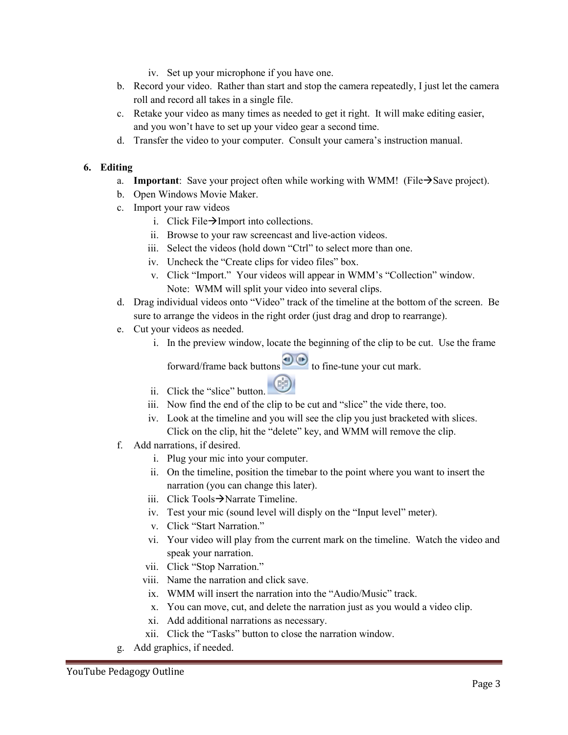- iv. Set up your microphone if you have one.
- b. Record your video. Rather than start and stop the camera repeatedly, I just let the camera roll and record all takes in a single file.
- c. Retake your video as many times as needed to get it right. It will make editing easier, and you won't have to set up your video gear a second time.
- d. Transfer the video to your computer. Consult your camera's instruction manual.

## 6. Editing

- a. Important: Save your project often while working with WMM! (File $\rightarrow$ Save project).
- b. Open Windows Movie Maker.
- c. Import your raw videos
	- i. Click File $\rightarrow$ Import into collections.
	- ii. Browse to your raw screencast and live-action videos.
	- iii. Select the videos (hold down "Ctrl" to select more than one.
	- iv. Uncheck the "Create clips for video files" box.
	- v. Click "Import." Your videos will appear in WMM's "Collection" window. Note: WMM will split your video into several clips.
- d. Drag individual videos onto "Video" track of the timeline at the bottom of the screen. Be sure to arrange the videos in the right order (just drag and drop to rearrange).
- e. Cut your videos as needed.
	- i. In the preview window, locate the beginning of the clip to be cut. Use the frame

forward/frame back buttons  $\bigcirc$  to fine-tune your cut mark.

- ii. Click the "slice" button.
- iii. Now find the end of the clip to be cut and "slice" the vide there, too.
- iv. Look at the timeline and you will see the clip you just bracketed with slices. Click on the clip, hit the "delete" key, and WMM will remove the clip.
- f. Add narrations, if desired.
	- i. Plug your mic into your computer.
	- ii. On the timeline, position the timebar to the point where you want to insert the narration (you can change this later).
	- iii. Click Tools $\rightarrow$ Narrate Timeline.
	- iv. Test your mic (sound level will disply on the "Input level" meter).
	- v. Click "Start Narration."
	- vi. Your video will play from the current mark on the timeline. Watch the video and speak your narration.
	- vii. Click "Stop Narration."
	- viii. Name the narration and click save.
	- ix. WMM will insert the narration into the "Audio/Music" track.
	- x. You can move, cut, and delete the narration just as you would a video clip.
	- xi. Add additional narrations as necessary.
	- xii. Click the "Tasks" button to close the narration window.
- g. Add graphics, if needed.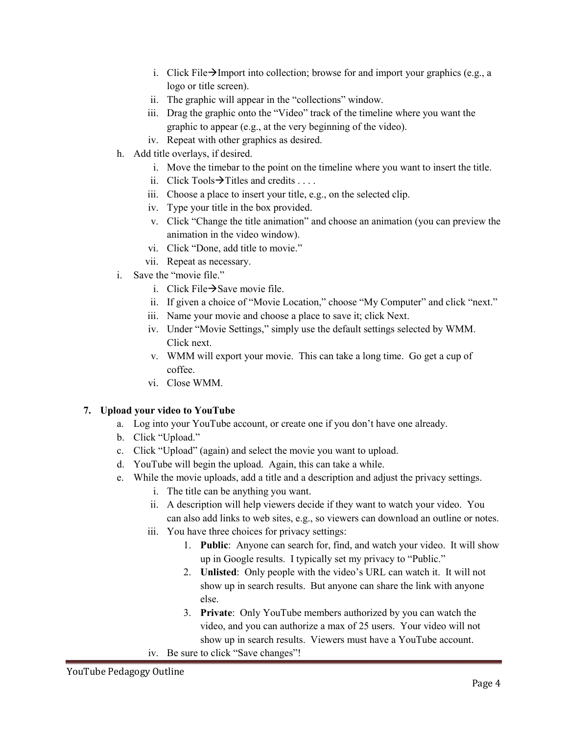- i. Click File $\rightarrow$ Import into collection; browse for and import your graphics (e.g., a logo or title screen).
- ii. The graphic will appear in the "collections" window.
- iii. Drag the graphic onto the "Video" track of the timeline where you want the graphic to appear (e.g., at the very beginning of the video).
- iv. Repeat with other graphics as desired.
- h. Add title overlays, if desired.
	- i. Move the timebar to the point on the timeline where you want to insert the title.
	- ii. Click Tools  $\rightarrow$  Titles and credits ...
	- iii. Choose a place to insert your title, e.g., on the selected clip.
	- iv. Type your title in the box provided.
	- v. Click "Change the title animation" and choose an animation (you can preview the animation in the video window).
	- vi. Click "Done, add title to movie."
	- vii. Repeat as necessary.
- i. Save the "movie file."
	- i. Click File $\rightarrow$ Save movie file.
	- ii. If given a choice of "Movie Location," choose "My Computer" and click "next."
	- iii. Name your movie and choose a place to save it; click Next.
	- iv. Under "Movie Settings," simply use the default settings selected by WMM. Click next.
	- v. WMM will export your movie. This can take a long time. Go get a cup of coffee.
	- vi. Close WMM.

## 7. Upload your video to YouTube

- a. Log into your YouTube account, or create one if you don't have one already.
- b. Click "Upload."
- c. Click "Upload" (again) and select the movie you want to upload.
- d. YouTube will begin the upload. Again, this can take a while.
- e. While the movie uploads, add a title and a description and adjust the privacy settings.
	- i. The title can be anything you want.
	- ii. A description will help viewers decide if they want to watch your video. You can also add links to web sites, e.g., so viewers can download an outline or notes.
	- iii. You have three choices for privacy settings:
		- 1. Public: Anyone can search for, find, and watch your video. It will show up in Google results. I typically set my privacy to "Public."
		- 2. Unlisted: Only people with the video's URL can watch it. It will not show up in search results. But anyone can share the link with anyone else.
		- 3. Private: Only YouTube members authorized by you can watch the video, and you can authorize a max of 25 users. Your video will not show up in search results. Viewers must have a YouTube account.
	- iv. Be sure to click "Save changes"!